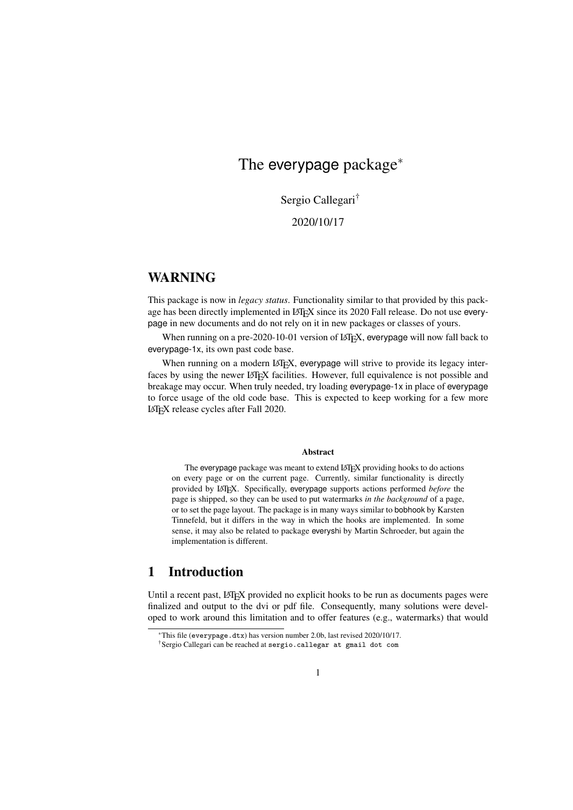# The everypage package<sup>∗</sup>

Sergio Callegari†

2020/10/17

### WARNING

This package is now in *legacy status*. Functionality similar to that provided by this package has been directly implemented in LAT<sub>EX</sub> since its 2020 Fall release. Do not use everypage in new documents and do not rely on it in new packages or classes of yours.

When running on a pre-2020-10-01 version of LATEX, everypage will now fall back to everypage-1x, its own past code base.

When running on a modern LAT<sub>EX</sub>, everypage will strive to provide its legacy interfaces by using the newer LAT<sub>EX</sub> facilities. However, full equivalence is not possible and breakage may occur. When truly needed, try loading everypage-1x in place of everypage to force usage of the old code base. This is expected to keep working for a few more LATEX release cycles after Fall 2020.

#### Abstract

The everypage package was meant to extend LAT<sub>E</sub>X providing hooks to do actions on every page or on the current page. Currently, similar functionality is directly provided by LATEX. Specifically, everypage supports actions performed *before* the page is shipped, so they can be used to put watermarks *in the background* of a page, or to set the page layout. The package is in many ways similar to bobhook by Karsten Tinnefeld, but it differs in the way in which the hooks are implemented. In some sense, it may also be related to package everyshi by Martin Schroeder, but again the implementation is different.

### 1 Introduction

Until a recent past, LAT<sub>E</sub>X provided no explicit hooks to be run as documents pages were finalized and output to the dvi or pdf file. Consequently, many solutions were developed to work around this limitation and to offer features (e.g., watermarks) that would

<sup>∗</sup>This file (everypage.dtx) has version number 2.0b, last revised 2020/10/17.

<sup>†</sup>Sergio Callegari can be reached at sergio.callegar at gmail dot com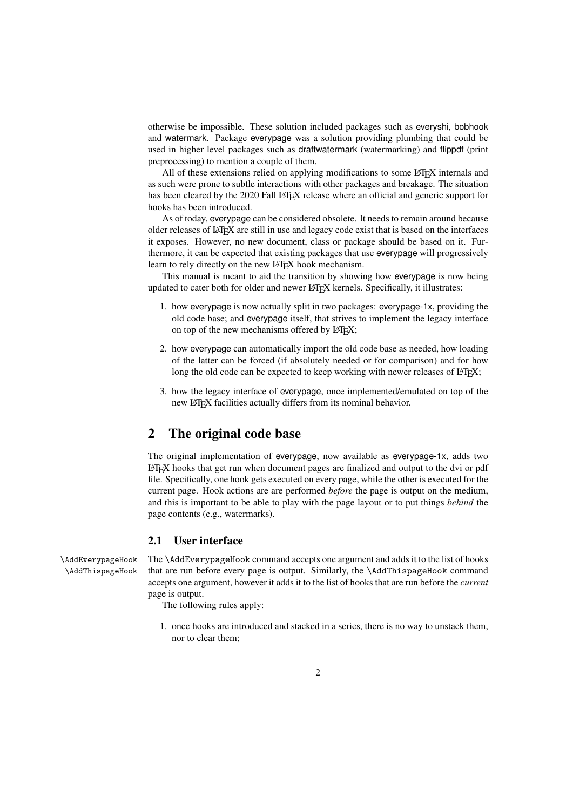otherwise be impossible. These solution included packages such as everyshi, bobhook and watermark. Package everypage was a solution providing plumbing that could be used in higher level packages such as draftwatermark (watermarking) and flippdf (print preprocessing) to mention a couple of them.

All of these extensions relied on applying modifications to some LAT<sub>EX</sub> internals and as such were prone to subtle interactions with other packages and breakage. The situation has been cleared by the 2020 Fall LAT<sub>EX</sub> release where an official and generic support for hooks has been introduced.

As of today, everypage can be considered obsolete. It needs to remain around because older releases of LATEX are still in use and legacy code exist that is based on the interfaces it exposes. However, no new document, class or package should be based on it. Furthermore, it can be expected that existing packages that use everypage will progressively learn to rely directly on the new LAT<sub>EX</sub> hook mechanism.

This manual is meant to aid the transition by showing how everypage is now being updated to cater both for older and newer LATEX kernels. Specifically, it illustrates:

- 1. how everypage is now actually split in two packages: everypage-1x, providing the old code base; and everypage itself, that strives to implement the legacy interface on top of the new mechanisms offered by LAT<sub>EX</sub>;
- 2. how everypage can automatically import the old code base as needed, how loading of the latter can be forced (if absolutely needed or for comparison) and for how long the old code can be expected to keep working with newer releases of LATEX;
- 3. how the legacy interface of everypage, once implemented/emulated on top of the new LATEX facilities actually differs from its nominal behavior.

### 2 The original code base

The original implementation of everypage, now available as everypage-1x, adds two LATEX hooks that get run when document pages are finalized and output to the dvi or pdf file. Specifically, one hook gets executed on every page, while the other is executed for the current page. Hook actions are are performed *before* the page is output on the medium, and this is important to be able to play with the page layout or to put things *behind* the page contents (e.g., watermarks).

#### 2.1 User interface

\AddEverypageHook The \AddEverypageHook command accepts one argument and adds it to the list of hooks \AddThispageHook that are run before every page is output. Similarly, the \AddThispageHook command accepts one argument, however it adds it to the list of hooks that are run before the *current* page is output.

The following rules apply:

1. once hooks are introduced and stacked in a series, there is no way to unstack them, nor to clear them;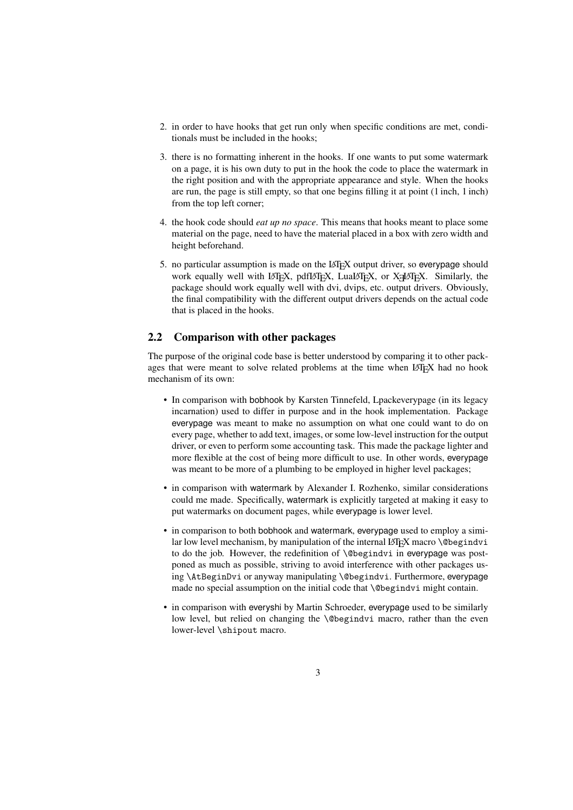- 2. in order to have hooks that get run only when specific conditions are met, conditionals must be included in the hooks;
- 3. there is no formatting inherent in the hooks. If one wants to put some watermark on a page, it is his own duty to put in the hook the code to place the watermark in the right position and with the appropriate appearance and style. When the hooks are run, the page is still empty, so that one begins filling it at point (1 inch, 1 inch) from the top left corner;
- 4. the hook code should *eat up no space*. This means that hooks meant to place some material on the page, need to have the material placed in a box with zero width and height beforehand.
- 5. no particular assumption is made on the LAT<sub>EX</sub> output driver, so everypage should work equally well with LATEX, pdfLATEX, LuaLATEX, or XHATEX. Similarly, the package should work equally well with dvi, dvips, etc. output drivers. Obviously, the final compatibility with the different output drivers depends on the actual code that is placed in the hooks.

#### 2.2 Comparison with other packages

The purpose of the original code base is better understood by comparing it to other packages that were meant to solve related problems at the time when LATEX had no hook mechanism of its own:

- In comparison with bobhook by Karsten Tinnefeld, Lpackeverypage (in its legacy incarnation) used to differ in purpose and in the hook implementation. Package everypage was meant to make no assumption on what one could want to do on every page, whether to add text, images, or some low-level instruction for the output driver, or even to perform some accounting task. This made the package lighter and more flexible at the cost of being more difficult to use. In other words, everypage was meant to be more of a plumbing to be employed in higher level packages;
- in comparison with watermark by Alexander I. Rozhenko, similar considerations could me made. Specifically, watermark is explicitly targeted at making it easy to put watermarks on document pages, while everypage is lower level.
- in comparison to both bobhook and watermark, everypage used to employ a similar low level mechanism, by manipulation of the internal LAT<sub>E</sub>X macro \@begindvi to do the job. However, the redefinition of *\@begindvi in everypage was post*poned as much as possible, striving to avoid interference with other packages using \AtBeginDvi or anyway manipulating \@begindvi. Furthermore, everypage made no special assumption on the initial code that \@begindvi might contain.
- in comparison with everyshi by Martin Schroeder, everypage used to be similarly low level, but relied on changing the \@begindvi macro, rather than the even lower-level \shipout macro.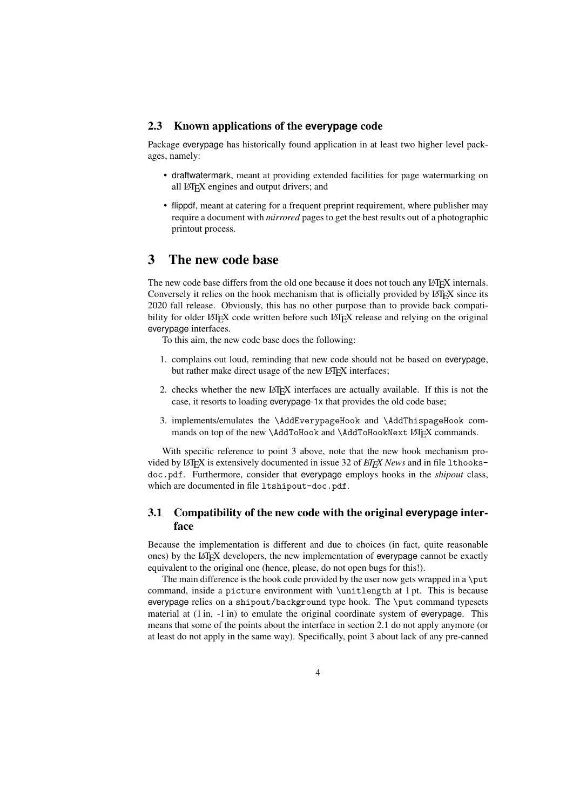#### 2.3 Known applications of the **everypage** code

Package everypage has historically found application in at least two higher level packages, namely:

- draftwatermark, meant at providing extended facilities for page watermarking on all LATEX engines and output drivers; and
- flippdf, meant at catering for a frequent preprint requirement, where publisher may require a document with *mirrored* pages to get the best results out of a photographic printout process.

### 3 The new code base

The new code base differs from the old one because it does not touch any LATEX internals. Conversely it relies on the hook mechanism that is officially provided by LATEX since its 2020 fall release. Obviously, this has no other purpose than to provide back compatibility for older LAT<sub>EX</sub> code written before such LAT<sub>EX</sub> release and relying on the original everypage interfaces.

To this aim, the new code base does the following:

- 1. complains out loud, reminding that new code should not be based on everypage, but rather make direct usage of the new IAT<sub>E</sub>X interfaces;
- 2. checks whether the new LAT<sub>E</sub>X interfaces are actually available. If this is not the case, it resorts to loading everypage-1x that provides the old code base;
- 3. implements/emulates the \AddEverypageHook and \AddThispageHook commands on top of the new \AddToHook and \AddToHookNext LATEX commands.

With specific reference to point 3 above, note that the new hook mechanism provided by LATEX is extensively documented in issue 32 of EITEX News and in file 1thooksdoc.pdf. Furthermore, consider that everypage employs hooks in the *shipout* class, which are documented in file ltshipout-doc.pdf.

#### 3.1 Compatibility of the new code with the original **everypage** interface

Because the implementation is different and due to choices (in fact, quite reasonable ones) by the LATEX developers, the new implementation of everypage cannot be exactly equivalent to the original one (hence, please, do not open bugs for this!).

The main difference is the hook code provided by the user now gets wrapped in a  $\put$ command, inside a picture environment with \unitlength at 1 pt. This is because everypage relies on a shipout/background type hook. The \put command typesets material at  $(1 \text{ in}, -1 \text{ in})$  to emulate the original coordinate system of everypage. This means that some of the points about the interface in section 2.1 do not apply anymore (or at least do not apply in the same way). Specifically, point 3 about lack of any pre-canned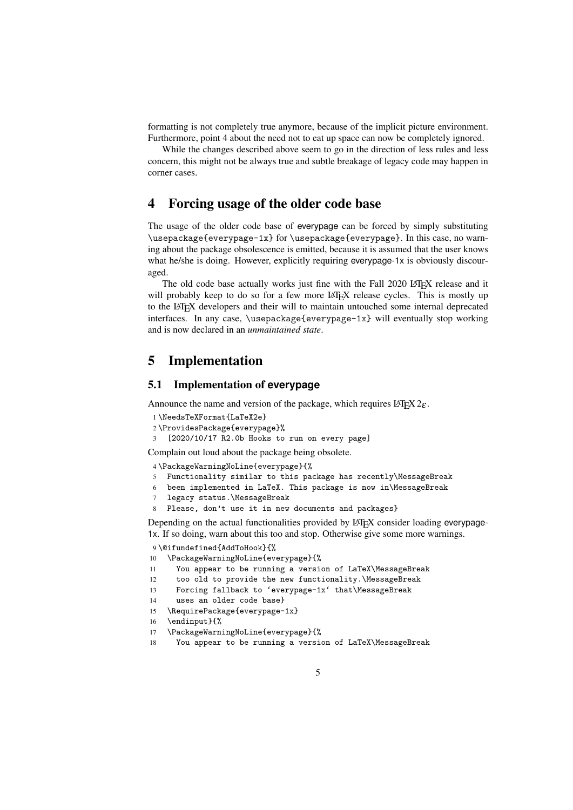formatting is not completely true anymore, because of the implicit picture environment. Furthermore, point 4 about the need not to eat up space can now be completely ignored.

While the changes described above seem to go in the direction of less rules and less concern, this might not be always true and subtle breakage of legacy code may happen in corner cases.

### 4 Forcing usage of the older code base

The usage of the older code base of everypage can be forced by simply substituting \usepackage{everypage-1x} for \usepackage{everypage}. In this case, no warning about the package obsolescence is emitted, because it is assumed that the user knows what he/she is doing. However, explicitly requiring everypage-1x is obviously discouraged.

The old code base actually works just fine with the Fall 2020 LATEX release and it will probably keep to do so for a few more LAT<sub>EX</sub> release cycles. This is mostly up to the LATEX developers and their will to maintain untouched some internal deprecated interfaces. In any case, \usepackage{everypage-1x} will eventually stop working and is now declared in an *unmaintained state*.

### 5 Implementation

#### 5.1 Implementation of **everypage**

Announce the name and version of the package, which requires  $\text{LATEX } 2\varepsilon$ .

- 1 \NeedsTeXFormat{LaTeX2e}
- 2 \ProvidesPackage{everypage}%
- 3 [2020/10/17 R2.0b Hooks to run on every page]

Complain out loud about the package being obsolete.

4 \PackageWarningNoLine{everypage}{%

- 5 Functionality similar to this package has recently\MessageBreak
- 6 been implemented in LaTeX. This package is now in\MessageBreak
- 7 legacy status.\MessageBreak
- 8 Please, don't use it in new documents and packages}

Depending on the actual functionalities provided by LATEX consider loading everypage-1x. If so doing, warn about this too and stop. Otherwise give some more warnings.

9 \@ifundefined{AddToHook}{%

- 10 \PackageWarningNoLine{everypage}{%
- 11 You appear to be running a version of LaTeX\MessageBreak
- 12 too old to provide the new functionality.\MessageBreak
- 13 Forcing fallback to 'everypage-1x' that\MessageBreak
- 14 uses an older code base}
- 15 \RequirePackage{everypage-1x}
- 16 \endinput}{%
- 17 \PackageWarningNoLine{everypage}{%
- 18 You appear to be running a version of LaTeX\MessageBreak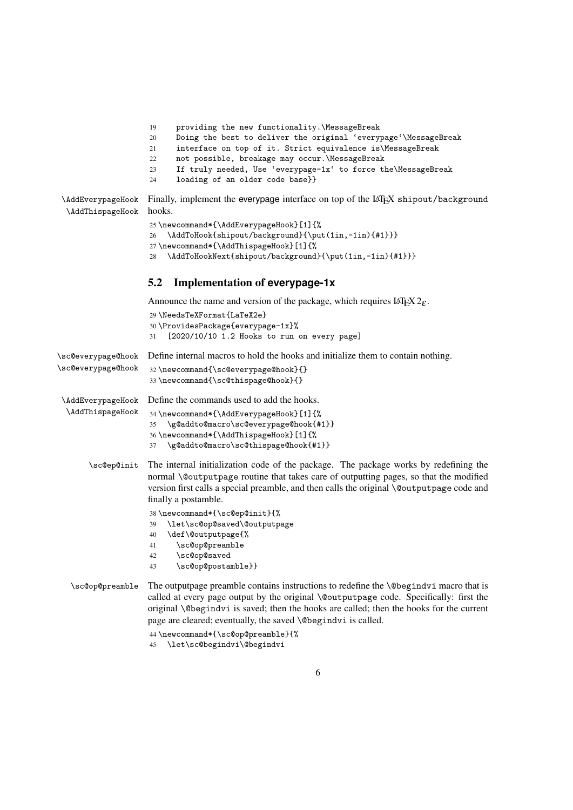|                                       | providing the new functionality. \MessageBreak<br>19<br>Doing the best to deliver the original 'everypage'\MessageBreak<br>20<br>interface on top of it. Strict equivalence is\MessageBreak<br>21<br>not possible, breakage may occur. \MessageBreak<br>22<br>If truly needed, Use 'everypage-1x' to force the\MessageBreak<br>23<br>loading of an older code base}}<br>24 |
|---------------------------------------|----------------------------------------------------------------------------------------------------------------------------------------------------------------------------------------------------------------------------------------------------------------------------------------------------------------------------------------------------------------------------|
| \AddEverypageHook<br>\AddThispageHook | Finally, implement the everypage interface on top of the L <sup>3</sup> T <sub>F</sub> X shipout/background<br>hooks.                                                                                                                                                                                                                                                      |
|                                       | 25\newcommand*{\AddEverypageHook}[1]{%<br>\AddToHook{shipout/background}{\put(1in,-1in){#1}}}<br>26<br>27\newcommand*{\AddThispageHook}[1]{%<br>\AddToHookNext{shipout/background}{\put(1in,-1in){#1}}}<br>28                                                                                                                                                              |
|                                       | 5.2<br><b>Implementation of everypage-1x</b>                                                                                                                                                                                                                                                                                                                               |
|                                       | Announce the name and version of the package, which requires $LATEX 2\varepsilon$ .                                                                                                                                                                                                                                                                                        |
|                                       | 29 \NeedsTeXFormat {LaTeX2e}<br>30\ProvidesPackage{everypage-1x}%<br>$[2020/10/10 1.2$ Hooks to run on every page]<br>31                                                                                                                                                                                                                                                   |
| \sc@everypage@hook                    | Define internal macros to hold the hooks and initialize them to contain nothing.                                                                                                                                                                                                                                                                                           |
| \sc@everypage@hook                    | 32 \newcommand{\sc@everypage@hook}{}<br>33\newcommand{\sc@thispage@hook}{}                                                                                                                                                                                                                                                                                                 |
| \AddEverypageHook                     | Define the commands used to add the hooks.                                                                                                                                                                                                                                                                                                                                 |
| \AddThispageHook                      | 34 \newcommand*{\AddEverypageHook}[1]{%<br>\g@addto@macro\sc@everypage@hook{#1}}<br>35<br>36\newcommand*{\AddThispageHook}[1]{%<br>\g@addto@macro\sc@thispage@hook{#1}}<br>37                                                                                                                                                                                              |
| \sc@ep@init                           | The internal initialization code of the package. The package works by redefining the<br>normal \@outputpage routine that takes care of outputting pages, so that the modified<br>version first calls a special preamble, and then calls the original \@outputpage code and<br>finally a postamble.                                                                         |
|                                       | 38\newcommand*{\sc@ep@init}{%<br>\let\sc@op@saved\@outputpage<br>39<br>\def\@outputpage{%<br>40<br>\sc@op@preamble<br>41<br>\sc@op@saved<br>42<br>\sc@op@postamble}}<br>43                                                                                                                                                                                                 |
| \sc@op@preamble                       | The output page preamble contains instructions to redefine the <i>\Chegindvi macro that is</i><br>called at every page output by the original \@outputpage code. Specifically: first the<br>original \@begindvi is saved; then the hooks are called; then the hooks for the current<br>page are cleared; eventually, the saved \@begindvi is called.                       |
|                                       | 44 \newcommand*{\sc@op@preamble}{%<br>\let\sc@begindvi\@begindvi<br>45                                                                                                                                                                                                                                                                                                     |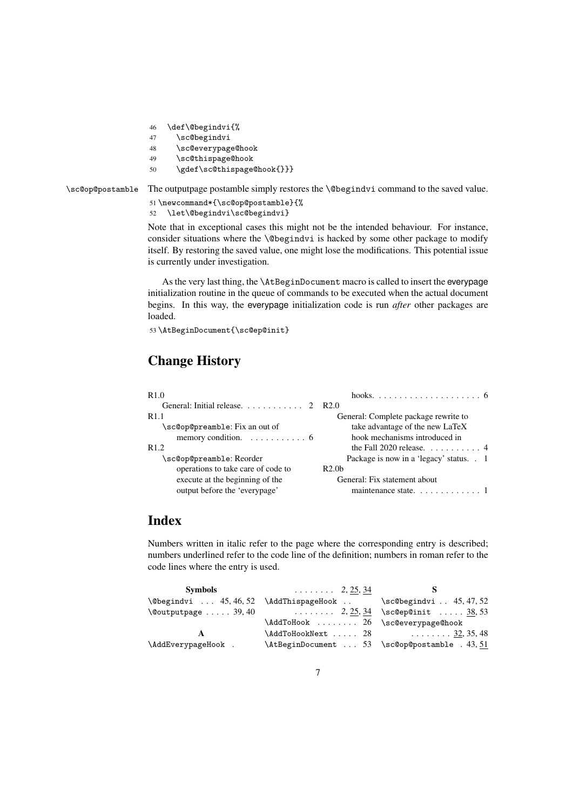- 46 \def\@begindvi{%
- 47 \sc@begindvi
- 48 \sc@everypage@hook
- 49 \sc@thispage@hook
- 50 \gdef\sc@thispage@hook{}}}

\sc@op@postamble The outputpage postamble simply restores the \@begindvi command to the saved value.

51 \newcommand\*{\sc@op@postamble}{%

52 \let\@begindvi\sc@begindvi}

Note that in exceptional cases this might not be the intended behaviour. For instance, consider situations where the \@begindvi is hacked by some other package to modify itself. By restoring the saved value, one might lose the modifications. This potential issue is currently under investigation.

As the very last thing, the \AtBeginDocument macro is called to insert the everypage initialization routine in the queue of commands to be executed when the actual document begins. In this way, the everypage initialization code is run *after* other packages are loaded.

53 \AtBeginDocument{\sc@ep@init}

# Change History

| R <sub>1.0</sub>                              | hooks. $\ldots \ldots \ldots \ldots \ldots \ldots \ldots 6$ |
|-----------------------------------------------|-------------------------------------------------------------|
|                                               |                                                             |
| R <sub>1.1</sub>                              | General: Complete package rewrite to                        |
| \sc@op@preamble: Fix an out of                | take advantage of the new LaTeX                             |
| memory condition. $\dots \dots \dots \dots 6$ | hook mechanisms introduced in                               |
| R <sub>1.2</sub>                              | the Fall 2020 release. $\ldots$ , 4                         |
| \sc@op@preamble: Reorder                      | Package is now in a 'legacy' status. 1                      |
| operations to take care of code to            | R2.0 <sub>b</sub>                                           |
| execute at the beginning of the               | General: Fix statement about                                |
| output before the 'everypage'                 |                                                             |

## Index

Numbers written in italic refer to the page where the corresponding entry is described; numbers underlined refer to the code line of the definition; numbers in roman refer to the code lines where the entry is used.

| <b>Symbols</b>                        | $\ldots$ 2, 25, 34                                                                       |                                  |
|---------------------------------------|------------------------------------------------------------------------------------------|----------------------------------|
| \@begindvi  45,46,52 \AddThispageHook |                                                                                          | \sc@begindvi  45,47,52           |
|                                       | \@outputpage  39,40 $\qquad \qquad 2, \underline{25}, \underline{34}$ \sc@ep@init  38,53 |                                  |
|                                       | \AddToHook  26 \sc@everypage@hook                                                        |                                  |
|                                       |                                                                                          | $\AA$ ddToHookNext  28  32,35,48 |
| \AddEverypageHook .                   | \AtBeginDocument  53 \sc@op@postamble .43,51                                             |                                  |